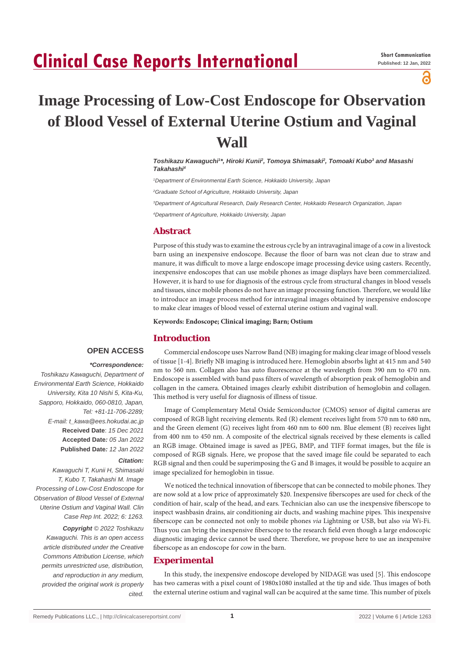# **Clinical Case Reports International**

ဥ

## **Image Processing of Low-Cost Endoscope for Observation of Blood Vessel of External Uterine Ostium and Vaginal Wall**

#### *Toshikazu Kawaguchi'\*, Hiroki Kunii*?, *Tomoya Shimasaki*<sup>2</sup>, *Tomoaki Kubo<sup>3</sup> and Masashi Takahashi4*

*1 Department of Environmental Earth Science, Hokkaido University, Japan*

*2 Graduate School of Agriculture, Hokkaido University, Japan*

*3 Department of Agricultural Research, Daily Research Center, Hokkaido Research Organization, Japan*

*4 Department of Agriculture, Hokkaido University, Japan*

#### **Abstract**

Purpose of this study was to examine the estrous cycle by an intravaginal image of a cow in a livestock barn using an inexpensive endoscope. Because the floor of barn was not clean due to straw and manure, it was difficult to move a large endoscope image processing device using casters. Recently, inexpensive endoscopes that can use mobile phones as image displays have been commercialized. However, it is hard to use for diagnosis of the estrous cycle from structural changes in blood vessels and tissues, since mobile phones do not have an image processing function. Therefore, we would like to introduce an image process method for intravaginal images obtained by inexpensive endoscope to make clear images of blood vessel of external uterine ostium and vaginal wall.

**Keywords: Endoscope; Clinical imaging; Barn; Ostium**

## **Introduction**

## **OPEN ACCESS**

#### *\*Correspondence:*

*Toshikazu Kawaguchi, Department of Environmental Earth Science, Hokkaido University, Kita 10 Nishi 5, Kita-Ku, Sapporo, Hokkaido, 060-0810, Japan, Tel: +81-11-706-2289; E-mail: t\_kawa@ees.hokudai.ac.jp* **Received Date**: *15 Dec 2021* **Accepted Date***: 05 Jan 2022* **Published Date***: 12 Jan 2022*

#### *Citation:*

*Kawaguchi T, Kunii H, Shimasaki T, Kubo T, Takahashi M. Image Processing of Low-Cost Endoscope for Observation of Blood Vessel of External Uterine Ostium and Vaginal Wall. Clin Case Rep Int. 2022; 6: 1263.*

*Copyright © 2022 Toshikazu Kawaguchi. This is an open access article distributed under the Creative Commons Attribution License, which permits unrestricted use, distribution, and reproduction in any medium, provided the original work is properly cited.*

Commercial endoscope uses Narrow Band (NB) imaging for making clear image of blood vessels of tissue [1-4]. Briefly NB imaging is introduced here. Hemoglobin absorbs light at 415 nm and 540 nm to 560 nm. Collagen also has auto fluorescence at the wavelength from 390 nm to 470 nm. Endoscope is assembled with band pass filters of wavelength of absorption peak of hemoglobin and collagen in the camera. Obtained images clearly exhibit distribution of hemoglobin and collagen. This method is very useful for diagnosis of illness of tissue.

### Image of Complementary Metal Oxide Semiconductor (CMOS) sensor of digital cameras are composed of RGB light receiving elements. Red (R) element receives light from 570 nm to 680 nm, and the Green element (G) receives light from 460 nm to 600 nm. Blue element (B) receives light from 400 nm to 450 nm. A composite of the electrical signals received by these elements is called an RGB image. Obtained image is saved as JPEG, BMP, and TIFF format images, but the file is composed of RGB signals. Here, we propose that the saved image file could be separated to each RGB signal and then could be superimposing the G and B images, it would be possible to acquire an image specialized for hemoglobin in tissue.

We noticed the technical innovation of fiberscope that can be connected to mobile phones. They are now sold at a low price of approximately \$20. Inexpensive fiberscopes are used for check of the condition of hair, scalp of the head, and ears. Technician also can use the inexpensive fiberscope to inspect washbasin drains, air conditioning air ducts, and washing machine pipes. This inexpensive fiberscope can be connected not only to mobile phones *via* Lightning or USB, but also *via* Wi-Fi. Thus you can bring the inexpensive fiberscope to the research field even though a large endoscopic diagnostic imaging device cannot be used there. Therefore, we propose here to use an inexpensive fiberscope as an endoscope for cow in the barn.

#### **Experimental**

In this study, the inexpensive endoscope developed by NIDAGE was used [5]. This endoscope has two cameras with a pixel count of 1980x1080 installed at the tip and side. Thus images of both the external uterine ostium and vaginal wall can be acquired at the same time. This number of pixels